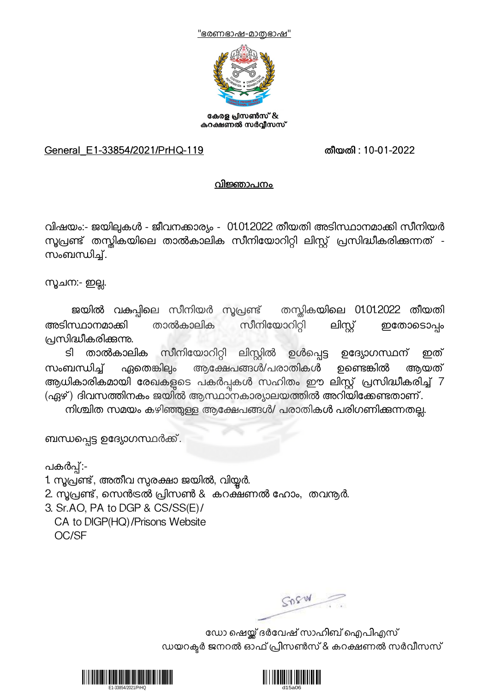"ഭരണഭാഷ-മാതഭാഷ"



കേരള പ്രസൺസ് & കറക്ഷണൽ സർവ്വീസസ്

## General\_E1-33854/2021/PrHQ-119 തീയതി : 10-01-2022

### വിജ്ഞാപനം

വിഷയം:- ജയിലുകൾ - ജീവനക്കാര്യം -  $\,01012022\,$ തീയതി അടിസ്ഥാനമാക്കി സീനിയർ സൂപ്രണ്ട് തസ്കികയിലെ താൽകാലിക സീനിയോറിറ്റി ലിസ്റ്റ് പ്രസിദ്ധീകരിക്കുന്നത് -സംബന്ധിച്ച്.

സൂചന:- ഇല്ല.

ജയിൽ വകുപ്പിലെ സീനിയർ സൂപ്രണ്ട് തന്റികയിലെ 01.01.2022 തീയതി അടിസ്ഥാനമാക്കി താൽകാലിക സീനിയോറിറ്റി ലിസ്റ്റ് ഇതോടൊപ്പം പ്രസിദ്ധീകരിക്കുന്നു.

ടി താൽകാലിക സീനിയോറിറ്റി ലിസ്റ്റിൽ ഉൾപ്പെട്ട ഉദ്യോഗസ്ഥന് ഇത് സംബന്ധിച്ച് ഏതെങ്കില്പം ആക്ഷേപങ്ങൾ/പരാതികൾ ഉണ്ടെങ്കിൽ ആയത് ആധികാരികമായി രേഖകളടെ പകർപ്പകൾ സഹിതം ഈ ലിസ്റ്റ് പ്രസിദ്ധീകരിച്ച് 7 (ഏഴ്) ദിവസത്തിനകം ജയിൽ ആസ്ഥാനകാര്യാലയത്തിൽ അറിയിക്കേണ്ടതാണ്.

നിശ്ചിത സമയം കഴിഞ്ഞുള്ള ആക്ഷേപങ്ങൾ/ പരാതികൾ പരിഗണിക്കുന്നതല്ല.

ബന്ധപ്പെട്ട ഉദ്യോഗസ്ഥർക്ക്.

പകർ4്:-

1. ്, അതീവ Qര=ാ ജയിൽ, വിRർ.

2. സൂപ്രണ്ട്, സെൻട്രൽ പ്രിസൺ & കറക്ഷണൽ ഹോം, തവന്തർ.

3. Sr.AO, PA to DGP & CS/SS(E)/ CA to DIGP(HQ)/Prisons Website OC/SF

GOSW

ഡോ ഷെയ്ക് ദർവേഷ് സാഹിബ് ഐപിഎസ് ഡയറക്ടർ ജനറൽ ഓഫ് പ്രിസൺസ് & കറക്ഷണൽ സർവീസസ്



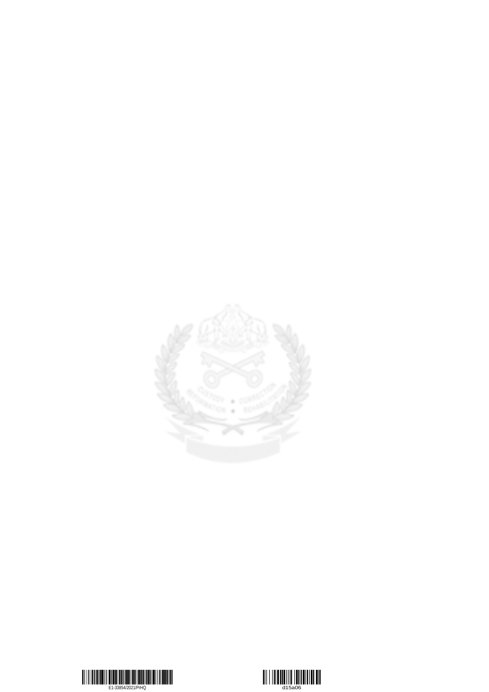



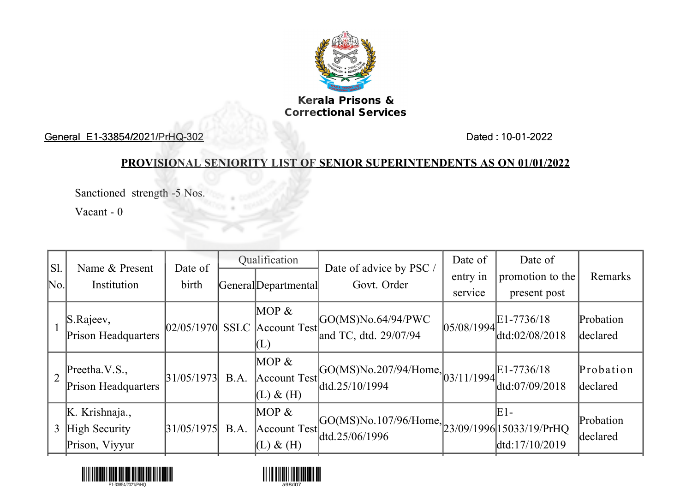

### **Kerala Prisons & Correctional Services**

#### General\_E1-33854/2021/PrHQ-302 Dated : 10-01-2022

# **PROVISIONAL SENIORITY LIST OF SENIOR SUPERINTENDENTS AS ON 01/01/2022**

Sanctioned strength -5 Nos.

Vacant - 0

| S1.<br>No. | Name & Present<br>Institution                     | Date of<br>birth |      | Qualification<br>General Departmental                                                          | Date of advice by PSC /<br>Govt. Order                                              | Date of<br>entry in<br>service | Date of<br>promotion to the<br>present post | Remarks               |
|------------|---------------------------------------------------|------------------|------|------------------------------------------------------------------------------------------------|-------------------------------------------------------------------------------------|--------------------------------|---------------------------------------------|-----------------------|
|            | S.Rajeev,<br><b>Prison Headquarters</b>           |                  |      | MOP &<br>$\left 02/05/1970\right $ SSLC $\left $ Account Test $\right $<br>$\lfloor L \rfloor$ | GO(MS)No.64/94/PWC<br>and TC, dtd. 29/07/94                                         | 05/08/1994                     | E <sub>1</sub> -7736/18<br>dtd:02/08/2018   | Probation<br>declared |
|            | Preetha.V.S.,<br><b>Prison Headquarters</b>       | 31/05/1973       | B.A. | MOP $\&$<br>Account Test<br>$(L)$ & $(H)$                                                      | $ GO(MS)No.207/94/Home,  03/11/1994 ^E$<br>$\frac{1}{\text{d}t \cdot 25/10}{1994}$  |                                | $E1-7736/18$<br>dtd:07/09/2018              | Probation<br>declared |
| 3          | K. Krishnaja.,<br>High Security<br>Prison, Viyyur | 31/05/1975       | B.A. | MOP $\&$<br>Account Test<br>$(L)$ & $(H)$                                                      | $ GO(MS)No.107/96/Home,  23/09/1996 15033/19/PrHQ$<br>$\frac{1}{1}$ dtd. 25/06/1996 |                                | $E1-$<br>dtd:17/10/2019                     | Probation<br>declared |